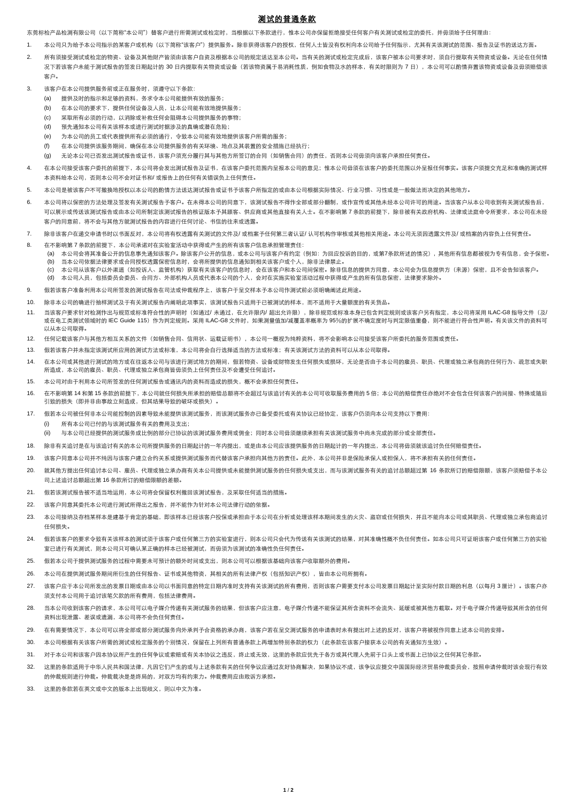## 测试的普通条款

东莞标检产品检测有限公司(以下简称"本公司")替客户进行所需测试或检定时,当根据以下条款进行,惟本公司亦保留拒绝接受任何客户有关测试或检定的委托,并毋须给予任何理由:

- 1. 本公司只为给予本公司指示的某客户或机构(以下简称"该客户")提供服务。除非获得该客户的授权,任何人士皆没有权利向本公司给予任何指示,尤其有关该测试的范围、报告及证书的送达方面,
- 2. 所有须接受测试或检定的物资、设备及其他财产皆须由该客户自资及根据本公司的规定送达至本公司。当有关的测试或检定完成后,该客户被本公司要求时,须自行提取有关物资或设备。无论在任何情 况下若该客户未能干测试报告的签发日期起计的 30 日内提取有关物资或设备(若该物资属干易消耗性质、例如食物及水的样本,有关时限则为 7 日),本公司可以酌情弃置该物资或设备及毋须赔偿该 客户。
- 3. 该客户在本公司提供服务前或正在服务时,须遵守以下条款:
	- (a) 提供及时的指示和足够的资料,务求令本公司能提供有效的服务;
	- (b) 在本公司的要求下,提供任何设备及人员,让本公司能有效地提供服务;
	- (c) 采取所有必须的行动,以消除或补救任何会阻碍本公司提供服务的事物;
	- (d) 预先通知本公司有关该样本或进行测试时据涉及的真确或潜在危险;
	- (e) 为本公司的员工或代表提供所有必须的通行,令致本公司能有效地提供该客户所需的服务;
	- (f) 在本公司提供该服务期间,确保在本公司提供服务的有关环境、地点及其装置的安全措施已经执行;
	- (g) 无论本公司已否发出测试报告或证书,该客户须充分履行其与其他方所签订的合同(如销售合同)的责任,否则本公司毋须向该客户承担任何责任。
- 4. 在本公司接受该客户委托的前提下,本公司将会发出测试报告及证书,在该客户委托范围内呈报本公司的意见;惟本公司毋须在该客户的委托范围以外呈报任何事实。该客户须提交充足和准确的测试样 本资料给本公司,否则本公司不会对证书和/ 或报告上的任何有关错误负上任何责任。
- 5. 本公司是被该客户不可撤换地授权以本公司的酌情方法送达测试报告或证书予该客户所指定的或由本公司根据实际情况、行业习惯、习性或是一般做法而决定的其他地方。
- 6. 本公司将以保密的方法处理及签发有关测试报告予客户。在未得本公司的同意下,该测试报告不得作全部或部分翻制,或作宣传或其他未经本公司许可的用途。当该客户从本公司收到有关测试报告后, 可以展示或传送该测试报告或由本公司所制定该测试报告的核证版本予其顾客、供应商或其他直接有关人士。在不影响第 7 条款的前提下,除非被有关政府机构、法律或法庭命令所要求,本公司在未经 客户的同意前,将不会与其他方就测试报告的内容进行任何讨论、书信的往来或透露。
- 7. 除非该客户在递交申请书时以书面反对,本公司将有权透露有关测试的文件及/ 或档案予任何第三者认证/ 认可机构作审核或其他相关用途。本公司无须因透露文件及/ 或档案的内容负上任何责任。
- 8. 在不影响第 7 条款的前提下,本公司承诺对在实验室活动中获得或产生的所有该客户信息承担管理责任:
	- (a) 本公司会将其准备公开的信息事先通知该客户。除该客户公开的信息,或本公司与该客户有约定(例如:为回应投诉的目的,或第7条款所述的情况),其他所有信息都被视为专有信息,会予保密。 (b) 当本公司依据法律要求或合同授权透露保密信息时,会将所提供的信息通知到相关该客户或个人,除非法律禁止。
		- (c) 本公司从该客户以外渠道(如投诉人、监管机构)获取有关该客户的信息时,会在该客户和本公司间保密。除非信息的提供方同意,本公司会为信息提供方(来源)保密,且不会告知该客户。 (d) 本公司人员,包括委员会委员、合同方、外部机构人员或代表本公司的个人,会对在实施实验室活动过程中获得或产生的所有信息保密,法律要求除外。
- 9. 假若该客户准备利用本公司所签发的测试报告在司法或仲裁程序上,该客户于呈交样本予本公司作测试前必须明确阐述此用途。
- 10. 除非本公司的确进行抽样测试及于有关测试报告内阐明此项事实,该测试报告只适用于已被测试的样本,而不适用于大量额度的有关货品。
- 11. 当该客户要求针对检测作出与规范或标准符合性的声明时(如通过/ 未通过,在允许限内/ 超出允许限),除非规范或标准本身已包含判定规则或该客户另有指定,本公司将采用 ILAC-G8 指导文件 (及/ 或在电工类测试领域时的 IEC Guide 115)作为判定规则。采用 ILAC-G8 文件时,如果测量值加/减覆盖率概率为 95%的扩展不确定度时与判定限值重叠,则不能进行符合性声明。有关该文件的资料可 以从本公司取得。
- 12. 任何记载该客户与其他方相互关系的文件(如销售合同、信用状、运载证明书),本公司一概视为纯粹资料,将不会影响本公司接受该客户所委托的服务范围或责任。
- 13. 假若该客户并未指定该测试所应用的测试方法或标准,本公司将会自行选择适当的方法或标准;有关该测试方法的资料可以从本公司取得。
- 14. 在本公司或其他进行测试的地方或在往返本公司与该进行测试地方的期间,假若物资、设备或财物发生任何损失或损坏,无论是否由于本公司的雇员、职员、代理或独立承包商的任何行为、疏忽或失职 所造成,本公司的雇员、职员、代理或独立承包商皆毋须负上任何责任及不会遭受任何追讨。
- 15. 本公司对由于利用本公司所签发的任何测试报告或通讯内的资料而造成的损失,概不会承担任何责任。
- 16. 在不影响第 14 和第 15 条款的前提下,本公司就任何损失所承担的赔偿总额将不会超过与该追讨有关的本公司可收取服务费用的 5 倍;本公司的赔偿责任亦绝对不会包含任何该客户的间接、特殊或随后 引致的损失(即并非由事故立刻造成,但其结果导致的破坏或损失)。
- 17. 假若本公司被任何非本公司能控制的因素导致未能提供该测试服务,而该测试服务亦已备受委托或有关协议已经协定,该客户仍须向本公司支持以下费用:

(i) 所有本公司已付的与该测试服务有关的费用及支出;

(ii) 与本公司已经提供的测试服务成比例的部分已协议的该测试服务费用或佣金;同时本公司毋须继续承担有关该测试服务中尚未完成的部分或全部责任。

- 18. 除非有关迫讨是在与该追讨有关的本公司所提供服务的日期起计的一年内提出,或是由本公司应该提供服务的日期起计的一年内提出,本公司将毋须就该追讨负任何赔偿责任。
- 19. 该客户同意本公司并不纯因与该客户建立合约关系或提供测试服务而代替该客户承担向其他方的责任。此外,本公司并非是保险承保人或担保人,将不承担有关的任何责任。
- 20. 就其他方提出任何追讨本公司、雇员、代理或独立承办商有关本公司提供或未能提供测试服务的任何损失或支出,而与该测试服务有关的追讨总额超过第 16 条款所订的赔偿限额,该客户须赔偿予本公 司上述追讨总额超出第 16 条款所订的赔偿限额的差额。
- 21. 假若该测试报告被不适当地运用,本公司将会保留权利撤回该测试报告,及采取任何适当的措施。
- 22. 该客户同意其委托本公司进行测试所得出之报告,并不能作为针对本公司法律行动的依据。
- 23. 本公司接纳及存档某样本是建基于肯定的基础,即该样本已经该客户投保或承担由于本公司在分析或处理该样本期间发生的火灾、盗窃或任何损失,并且不能向本公司或其职员、代理或独立承包商追讨 任何损失。
- 24. 假若该客户的要求令致有关该样本的测试须于该客户或任何第三方的实验室进行,则本公司只会代为传送有关该测试的结果,对其准确性概不负任何责任。如本公司只可证明该客户或任何第三方的实验 室已进行有关测试,则本公司只可确认某正确的样本已经被测试,而毋须为该测试的准确性负任何责任。
- 25. 假若本公司于提供测试服务的过程中需要未可预计的额外时间或支出,则本公司可以根据该基础向该客户收取额外的费用。
- 26. 本公司在提供测试服务期间所衍生的任何报告、证书或其他物资,其相关的所有法律产权(包括知识产权),皆由本公司所拥有。
- 27. 该客户应于本公司所发出的发票日期或由本公司以书面同意的特定日期内准时支持有关该测试的所有费用,否则该客户需要支付本公司发票日期起计至实际付款日期的利息(以每月 3 厘计)。该客户亦 须支付本公司用于追讨该笔欠款的所有费用,包括法律费用。
- 28. 当本公司收到该客户的请求,本公司可以电子媒介传递有关测试服务的结果,但该客户应注意,电子媒介传递不能保证其所含资料不会流失、延缓或被其他方截取。对于电子媒介传递导致其所含的任何 资料出现泄露、差误或遗漏,本公司将不会负任何责任。
- 29. 在有需要情况下,本公司可以将全部或部分测试服务向外承判予合资格的承办商,该客户若在呈交测试服务的申请表时未有提出对上述的反对,该客户将被视作同意上述本公司的安排。
- 30. 本公司根据有关该客户所需的测试或检定服务的个别情况,保留在上列所有普通条款上再增加特别条款的权力(此条款在该客户接获本公司的有关通知方生效)。
- 31. 对于本公司和该客户因本协议所产生的任何争议或索赔或有关本协议之违反,终止或无效,这里的条款应优先于各方或其代理人先前于口头上或书面上已协议之任何其它条款。
- 32. 这里的条款话用于中华人民共和国法律,凡因它们产生的或与上述条款有关的任何争议应通过友好协商解决,如果协议不成,该争议应提交中国国际经济贸易仲裁委员会,按照申请仲裁时该会现行有效 的仲裁规则进行仲裁。仲裁裁决是是终局的,对双方均有约束力。仲裁费用应由败诉方承担。
- 33. 这里的条款若在英文或中文的版本上出现歧义,则以中文为准。